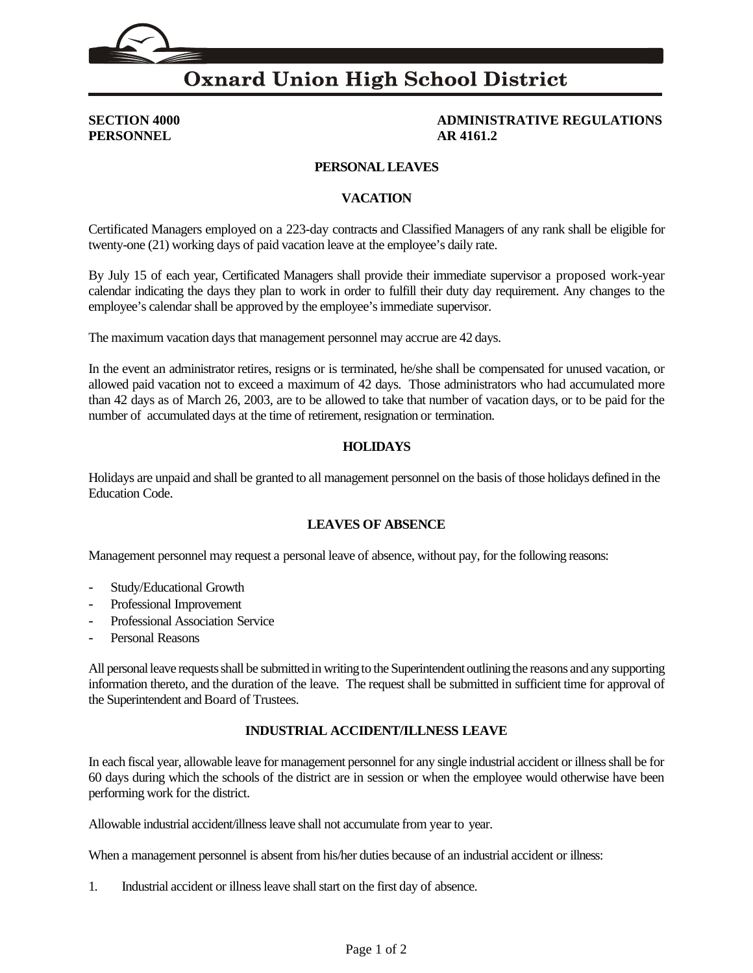## **Oxnard Union High School District**

**PERSONNEL AR 4161.2**

# **SECTION 4000 ADMINISTRATIVE REGULATIONS**

#### **PERSONAL LEAVES**

#### **VACATION**

Certificated Managers employed on a 223-day contracts and Classified Managers of any rank shall be eligible for twenty-one (21) working days of paid vacation leave at the employee's daily rate.

By July 15 of each year, Certificated Managers shall provide their immediate supervisor a proposed work-year calendar indicating the days they plan to work in order to fulfill their duty day requirement. Any changes to the employee's calendar shall be approved by the employee's immediate supervisor.

The maximum vacation days that management personnel may accrue are 42 days.

In the event an administrator retires, resigns or is terminated, he/she shall be compensated for unused vacation, or allowed paid vacation not to exceed a maximum of 42 days. Those administrators who had accumulated more than 42 days as of March 26, 2003, are to be allowed to take that number of vacation days, or to be paid for the number of accumulated days at the time of retirement, resignation or termination.

#### **HOLIDAYS**

Holidays are unpaid and shall be granted to all management personnel on the basis of those holidays defined in the Education Code.

### **LEAVES OF ABSENCE**

Management personnel may request a personal leave of absence, without pay, for the following reasons:

- Study/Educational Growth
- Professional Improvement
- Professional Association Service
- Personal Reasons

All personal leave requests shall be submitted in writing to the Superintendent outlining the reasons and any supporting information thereto, and the duration of the leave. The request shall be submitted in sufficient time for approval of the Superintendent and Board of Trustees.

#### **INDUSTRIAL ACCIDENT/ILLNESS LEAVE**

In each fiscal year, allowable leave for management personnel for any single industrial accident or illness shall be for 60 days during which the schools of the district are in session or when the employee would otherwise have been performing work for the district.

Allowable industrial accident/illness leave shall not accumulate from year to year.

When a management personnel is absent from his/her duties because of an industrial accident or illness:

1. Industrial accident or illness leave shall start on the first day of absence.